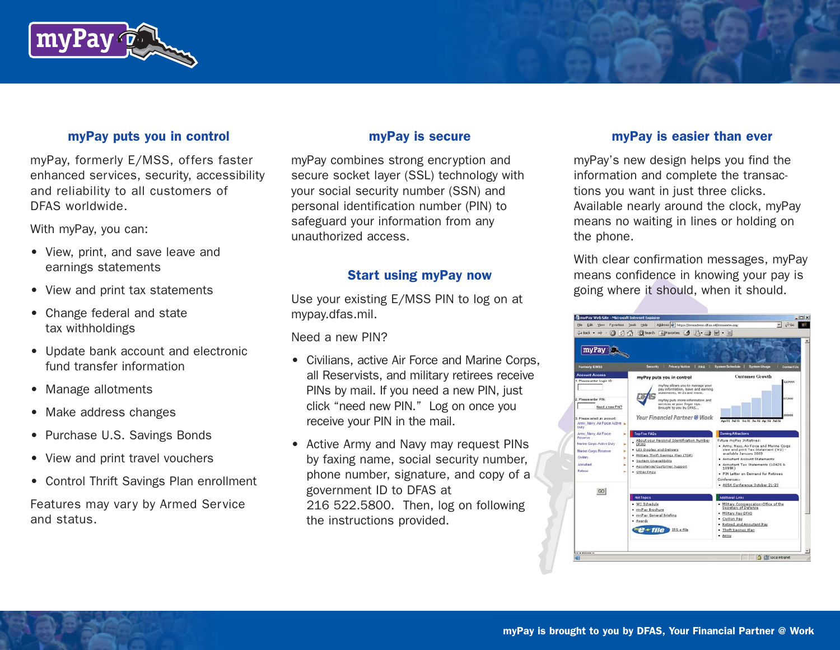

#### myPay puts you in control

myPay, formerly E/MSS, offers faster enhanced services, security, accessibility and reliability to all customers of DFAS worldwide.

With myPay, you can:

- View, print, and save leave and earnings statements
- View and print tax statements
- Change federal and state tax withholdings
- Update bank account and electronic fund transfer information
- Manage allotments
- Make address changes
- Purchase U.S. Savings Bonds
- View and print travel vouchers
- Control Thrift Savings Plan enrollment

Features may vary by Armed Service and status.

#### myPay is secure

myPay combines strong encryption and secure socket layer (SSL) technology with your social security number (SSN) and personal identification number (PIN) to safeguard your information from any unauthorized access.

#### Start using myPay now

Use your existing E/MSS PIN to log on at mypay.dfas.mil.

Need a new PIN?

- Civilians, active Air Force and Marine Corps, all Reservists, and military retirees receive PINs by mail. If you need a new PIN, just click "need new PIN." Log on once you receive your PIN in the mail.
- Active Army and Navy may request PINs by faxing name, social security number, phone number, signature, and copy of a government ID to DFAS at 216 522.5800. Then, log on following the instructions provided.

## myPay is easier than ever

myPay's new design helps you find the information and complete the transactions you want in just three clicks. Available nearly around the clock, myPay means no waiting in lines or holding on the phone.

With clear confirmation messages, myPay means confidence in knowing your pay is going where it should, when it should.